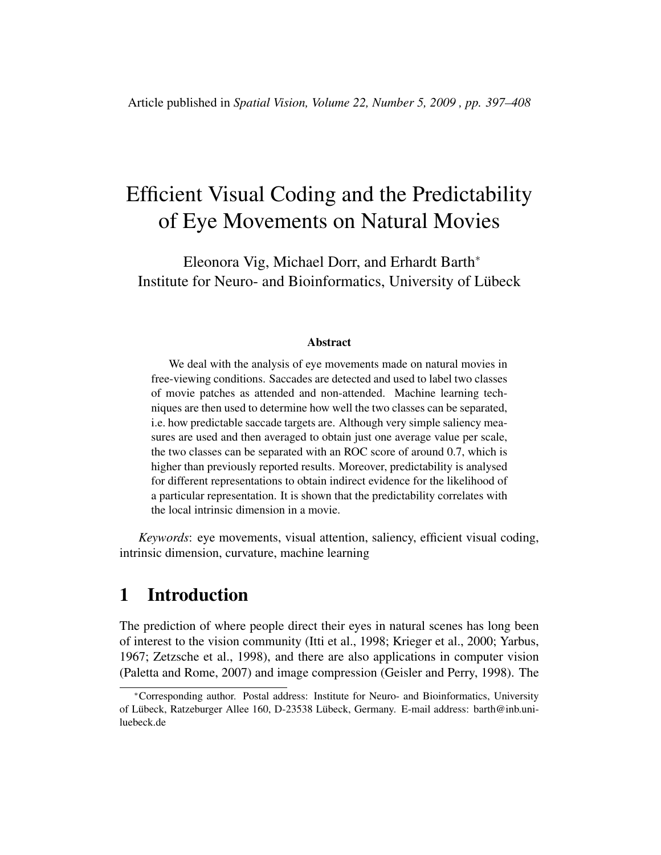# Efficient Visual Coding and the Predictability of Eye Movements on Natural Movies

Eleonora Vig, Michael Dorr, and Erhardt Barth<sup>∗</sup> Institute for Neuro- and Bioinformatics, University of Lubeck ¨

#### Abstract

We deal with the analysis of eye movements made on natural movies in free-viewing conditions. Saccades are detected and used to label two classes of movie patches as attended and non-attended. Machine learning techniques are then used to determine how well the two classes can be separated, i.e. how predictable saccade targets are. Although very simple saliency measures are used and then averaged to obtain just one average value per scale, the two classes can be separated with an ROC score of around 0.7, which is higher than previously reported results. Moreover, predictability is analysed for different representations to obtain indirect evidence for the likelihood of a particular representation. It is shown that the predictability correlates with the local intrinsic dimension in a movie.

*Keywords*: eye movements, visual attention, saliency, efficient visual coding, intrinsic dimension, curvature, machine learning

# 1 Introduction

The prediction of where people direct their eyes in natural scenes has long been of interest to the vision community (Itti et al., 1998; Krieger et al., 2000; Yarbus, 1967; Zetzsche et al., 1998), and there are also applications in computer vision (Paletta and Rome, 2007) and image compression (Geisler and Perry, 1998). The

<sup>∗</sup>Corresponding author. Postal address: Institute for Neuro- and Bioinformatics, University of Lübeck, Ratzeburger Allee 160, D-23538 Lübeck, Germany. E-mail address: barth@inb.uniluebeck.de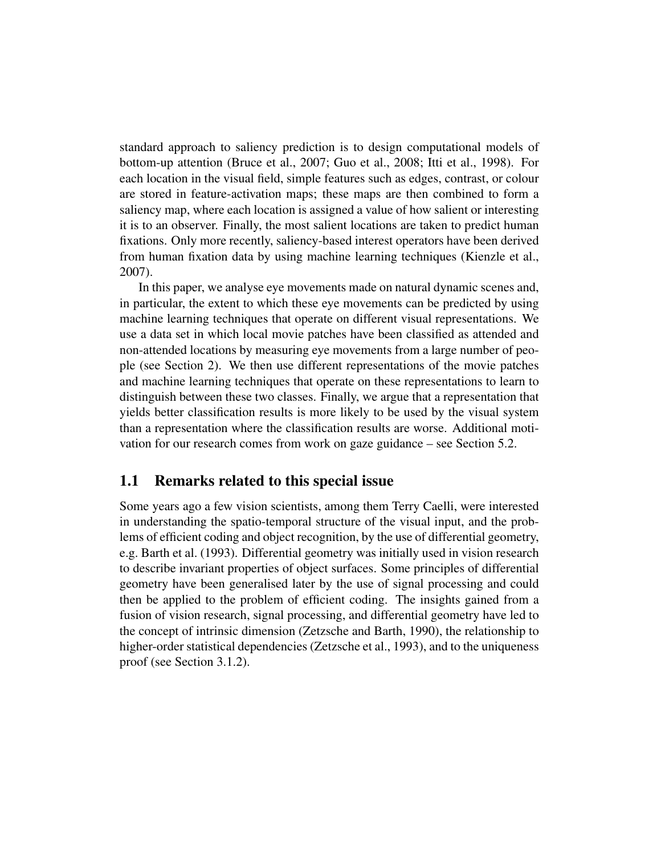standard approach to saliency prediction is to design computational models of bottom-up attention (Bruce et al., 2007; Guo et al., 2008; Itti et al., 1998). For each location in the visual field, simple features such as edges, contrast, or colour are stored in feature-activation maps; these maps are then combined to form a saliency map, where each location is assigned a value of how salient or interesting it is to an observer. Finally, the most salient locations are taken to predict human fixations. Only more recently, saliency-based interest operators have been derived from human fixation data by using machine learning techniques (Kienzle et al., 2007).

In this paper, we analyse eye movements made on natural dynamic scenes and, in particular, the extent to which these eye movements can be predicted by using machine learning techniques that operate on different visual representations. We use a data set in which local movie patches have been classified as attended and non-attended locations by measuring eye movements from a large number of people (see Section 2). We then use different representations of the movie patches and machine learning techniques that operate on these representations to learn to distinguish between these two classes. Finally, we argue that a representation that yields better classification results is more likely to be used by the visual system than a representation where the classification results are worse. Additional motivation for our research comes from work on gaze guidance – see Section 5.2.

#### 1.1 Remarks related to this special issue

Some years ago a few vision scientists, among them Terry Caelli, were interested in understanding the spatio-temporal structure of the visual input, and the problems of efficient coding and object recognition, by the use of differential geometry, e.g. Barth et al. (1993). Differential geometry was initially used in vision research to describe invariant properties of object surfaces. Some principles of differential geometry have been generalised later by the use of signal processing and could then be applied to the problem of efficient coding. The insights gained from a fusion of vision research, signal processing, and differential geometry have led to the concept of intrinsic dimension (Zetzsche and Barth, 1990), the relationship to higher-order statistical dependencies (Zetzsche et al., 1993), and to the uniqueness proof (see Section 3.1.2).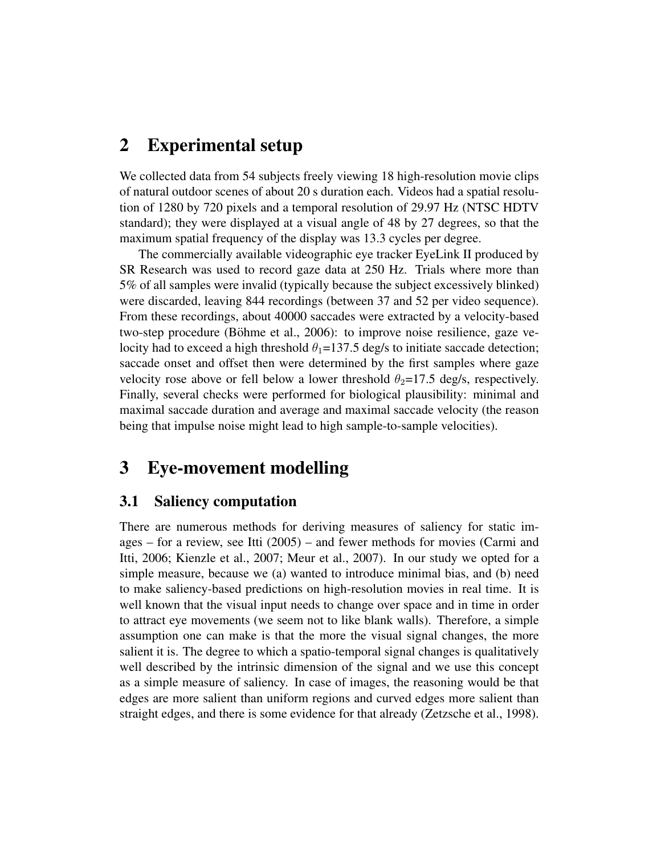# 2 Experimental setup

We collected data from 54 subjects freely viewing 18 high-resolution movie clips of natural outdoor scenes of about 20 s duration each. Videos had a spatial resolution of 1280 by 720 pixels and a temporal resolution of 29.97 Hz (NTSC HDTV standard); they were displayed at a visual angle of 48 by 27 degrees, so that the maximum spatial frequency of the display was 13.3 cycles per degree.

The commercially available videographic eye tracker EyeLink II produced by SR Research was used to record gaze data at 250 Hz. Trials where more than 5% of all samples were invalid (typically because the subject excessively blinked) were discarded, leaving 844 recordings (between 37 and 52 per video sequence). From these recordings, about 40000 saccades were extracted by a velocity-based two-step procedure (Böhme et al., 2006): to improve noise resilience, gaze velocity had to exceed a high threshold  $\theta_1 = 137.5$  deg/s to initiate saccade detection; saccade onset and offset then were determined by the first samples where gaze velocity rose above or fell below a lower threshold  $\theta_2=17.5$  deg/s, respectively. Finally, several checks were performed for biological plausibility: minimal and maximal saccade duration and average and maximal saccade velocity (the reason being that impulse noise might lead to high sample-to-sample velocities).

# 3 Eye-movement modelling

#### 3.1 Saliency computation

There are numerous methods for deriving measures of saliency for static images – for a review, see Itti (2005) – and fewer methods for movies (Carmi and Itti, 2006; Kienzle et al., 2007; Meur et al., 2007). In our study we opted for a simple measure, because we (a) wanted to introduce minimal bias, and (b) need to make saliency-based predictions on high-resolution movies in real time. It is well known that the visual input needs to change over space and in time in order to attract eye movements (we seem not to like blank walls). Therefore, a simple assumption one can make is that the more the visual signal changes, the more salient it is. The degree to which a spatio-temporal signal changes is qualitatively well described by the intrinsic dimension of the signal and we use this concept as a simple measure of saliency. In case of images, the reasoning would be that edges are more salient than uniform regions and curved edges more salient than straight edges, and there is some evidence for that already (Zetzsche et al., 1998).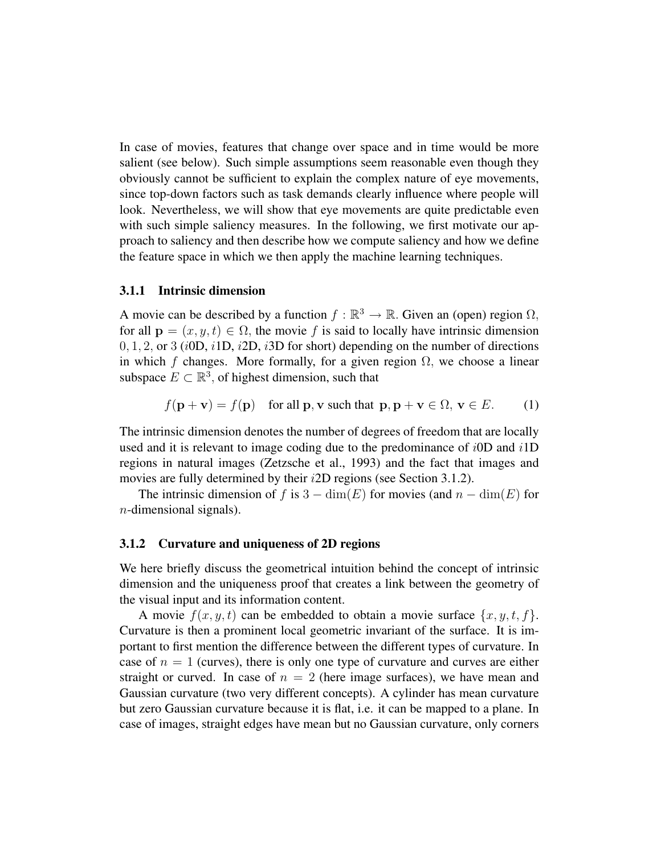In case of movies, features that change over space and in time would be more salient (see below). Such simple assumptions seem reasonable even though they obviously cannot be sufficient to explain the complex nature of eye movements, since top-down factors such as task demands clearly influence where people will look. Nevertheless, we will show that eye movements are quite predictable even with such simple saliency measures. In the following, we first motivate our approach to saliency and then describe how we compute saliency and how we define the feature space in which we then apply the machine learning techniques.

#### 3.1.1 Intrinsic dimension

A movie can be described by a function  $f : \mathbb{R}^3 \to \mathbb{R}$ . Given an (open) region  $\Omega$ , for all  $\mathbf{p} = (x, y, t) \in \Omega$ , the movie f is said to locally have intrinsic dimension  $0, 1, 2$ , or 3 (iOD, i 1D, i 2D, i 3D for short) depending on the number of directions in which f changes. More formally, for a given region  $\Omega$ , we choose a linear subspace  $E \subset \mathbb{R}^3$ , of highest dimension, such that

$$
f(\mathbf{p} + \mathbf{v}) = f(\mathbf{p})
$$
 for all **p**, **v** such that  $\mathbf{p}, \mathbf{p} + \mathbf{v} \in \Omega$ ,  $\mathbf{v} \in E$ . (1)

The intrinsic dimension denotes the number of degrees of freedom that are locally used and it is relevant to image coding due to the predominance of  $i$ <sup>OD</sup> and  $i$ <sup>1</sup>D regions in natural images (Zetzsche et al., 1993) and the fact that images and movies are fully determined by their i2D regions (see Section 3.1.2).

The intrinsic dimension of f is  $3 - \dim(E)$  for movies (and  $n - \dim(E)$  for  $n$ -dimensional signals).

#### 3.1.2 Curvature and uniqueness of 2D regions

We here briefly discuss the geometrical intuition behind the concept of intrinsic dimension and the uniqueness proof that creates a link between the geometry of the visual input and its information content.

A movie  $f(x, y, t)$  can be embedded to obtain a movie surface  $\{x, y, t, f\}$ . Curvature is then a prominent local geometric invariant of the surface. It is important to first mention the difference between the different types of curvature. In case of  $n = 1$  (curves), there is only one type of curvature and curves are either straight or curved. In case of  $n = 2$  (here image surfaces), we have mean and Gaussian curvature (two very different concepts). A cylinder has mean curvature but zero Gaussian curvature because it is flat, i.e. it can be mapped to a plane. In case of images, straight edges have mean but no Gaussian curvature, only corners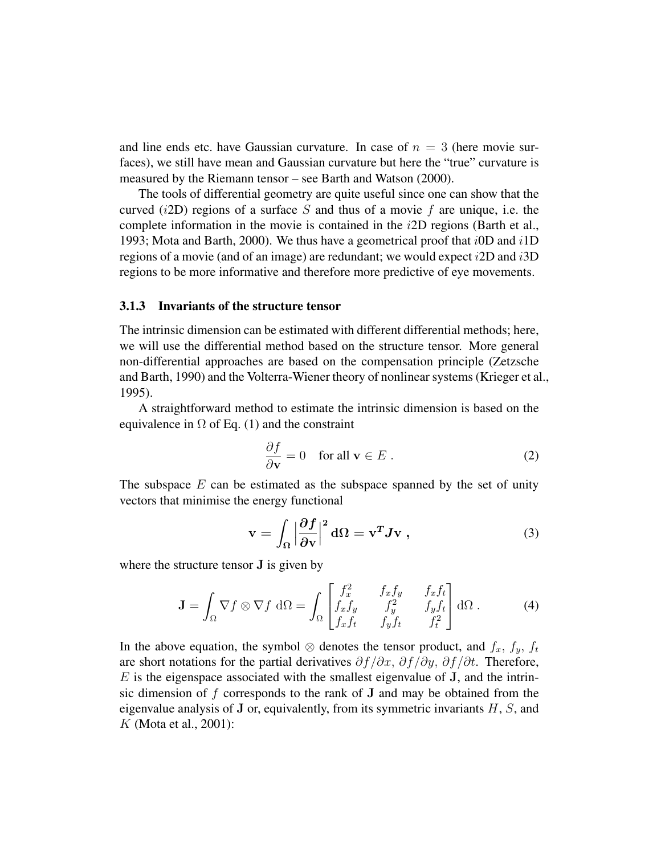and line ends etc. have Gaussian curvature. In case of  $n = 3$  (here movie surfaces), we still have mean and Gaussian curvature but here the "true" curvature is measured by the Riemann tensor – see Barth and Watson (2000).

The tools of differential geometry are quite useful since one can show that the curved  $(i2D)$  regions of a surface S and thus of a movie f are unique, i.e. the complete information in the movie is contained in the  $i2D$  regions (Barth et al., 1993; Mota and Barth, 2000). We thus have a geometrical proof that  $i$  0D and  $i$  1D regions of a movie (and of an image) are redundant; we would expect  $i2D$  and  $i3D$ regions to be more informative and therefore more predictive of eye movements.

#### 3.1.3 Invariants of the structure tensor

The intrinsic dimension can be estimated with different differential methods; here, we will use the differential method based on the structure tensor. More general non-differential approaches are based on the compensation principle (Zetzsche and Barth, 1990) and the Volterra-Wiener theory of nonlinear systems (Krieger et al., 1995).

A straightforward method to estimate the intrinsic dimension is based on the equivalence in  $\Omega$  of Eq. (1) and the constraint

$$
\frac{\partial f}{\partial \mathbf{v}} = 0 \quad \text{for all } \mathbf{v} \in E . \tag{2}
$$

The subspace  $E$  can be estimated as the subspace spanned by the set of unity vectors that minimise the energy functional

$$
\mathbf{v} = \int_{\Omega} \left| \frac{\partial f}{\partial \mathbf{v}} \right|^2 d\Omega = \mathbf{v}^T J \mathbf{v} \tag{3}
$$

where the structure tensor J is given by

$$
\mathbf{J} = \int_{\Omega} \nabla f \otimes \nabla f \, d\Omega = \int_{\Omega} \begin{bmatrix} f_x^2 & f_x f_y & f_x f_t \\ f_x f_y & f_y^2 & f_y f_t \\ f_x f_t & f_y f_t & f_t^2 \end{bmatrix} d\Omega \,. \tag{4}
$$

In the above equation, the symbol  $\otimes$  denotes the tensor product, and  $f_x$ ,  $f_y$ ,  $f_t$ are short notations for the partial derivatives  $\partial f/\partial x$ ,  $\partial f/\partial y$ ,  $\partial f/\partial t$ . Therefore,  $E$  is the eigenspace associated with the smallest eigenvalue of J, and the intrinsic dimension of  $f$  corresponds to the rank of  $J$  and may be obtained from the eigenvalue analysis of  $J$  or, equivalently, from its symmetric invariants  $H, S$ , and K (Mota et al., 2001):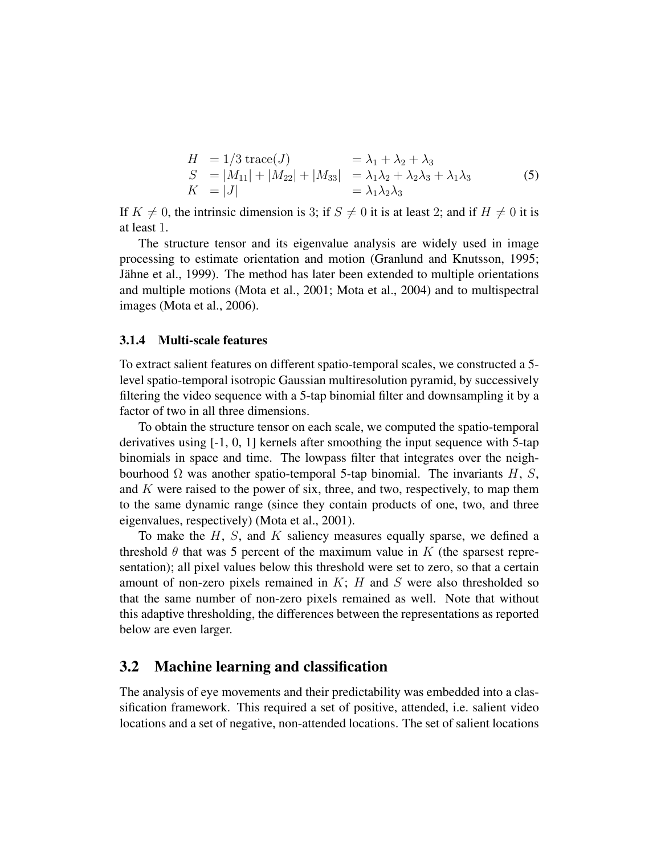$$
H = 1/3 \operatorname{trace}(J) = \lambda_1 + \lambda_2 + \lambda_3
$$
  
\n
$$
S = |M_{11}| + |M_{22}| + |M_{33}| = \lambda_1 \lambda_2 + \lambda_2 \lambda_3 + \lambda_1 \lambda_3
$$
  
\n
$$
K = |J|
$$
\n(5)

If  $K \neq 0$ , the intrinsic dimension is 3; if  $S \neq 0$  it is at least 2; and if  $H \neq 0$  it is at least 1.

The structure tensor and its eigenvalue analysis are widely used in image processing to estimate orientation and motion (Granlund and Knutsson, 1995; Jähne et al., 1999). The method has later been extended to multiple orientations and multiple motions (Mota et al., 2001; Mota et al., 2004) and to multispectral images (Mota et al., 2006).

#### 3.1.4 Multi-scale features

To extract salient features on different spatio-temporal scales, we constructed a 5 level spatio-temporal isotropic Gaussian multiresolution pyramid, by successively filtering the video sequence with a 5-tap binomial filter and downsampling it by a factor of two in all three dimensions.

To obtain the structure tensor on each scale, we computed the spatio-temporal derivatives using [-1, 0, 1] kernels after smoothing the input sequence with 5-tap binomials in space and time. The lowpass filter that integrates over the neighbourhood  $\Omega$  was another spatio-temporal 5-tap binomial. The invariants H, S, and  $K$  were raised to the power of six, three, and two, respectively, to map them to the same dynamic range (since they contain products of one, two, and three eigenvalues, respectively) (Mota et al., 2001).

To make the  $H$ ,  $S$ , and  $K$  saliency measures equally sparse, we defined a threshold  $\theta$  that was 5 percent of the maximum value in K (the sparsest representation); all pixel values below this threshold were set to zero, so that a certain amount of non-zero pixels remained in  $K$ ;  $H$  and  $S$  were also thresholded so that the same number of non-zero pixels remained as well. Note that without this adaptive thresholding, the differences between the representations as reported below are even larger.

#### 3.2 Machine learning and classification

The analysis of eye movements and their predictability was embedded into a classification framework. This required a set of positive, attended, i.e. salient video locations and a set of negative, non-attended locations. The set of salient locations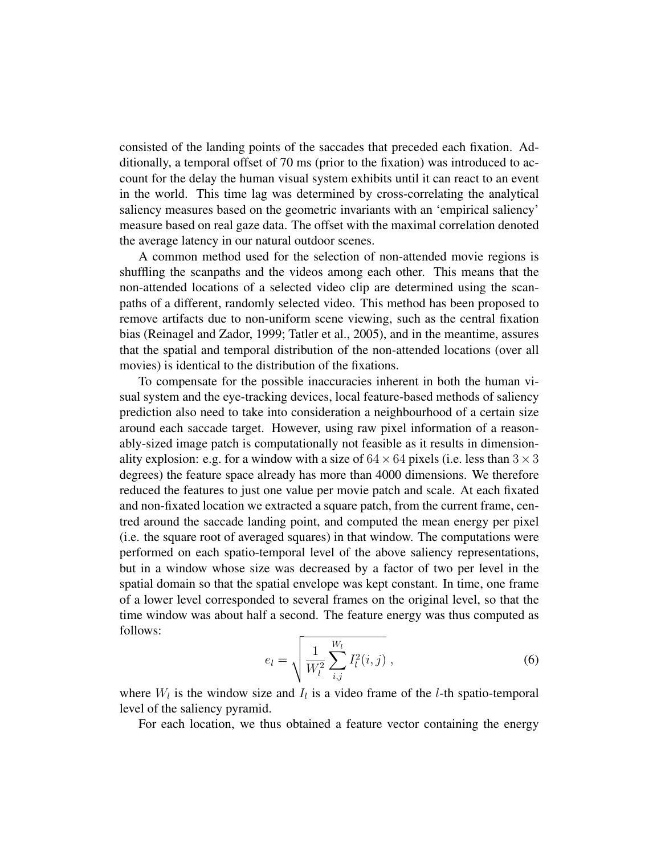consisted of the landing points of the saccades that preceded each fixation. Additionally, a temporal offset of 70 ms (prior to the fixation) was introduced to account for the delay the human visual system exhibits until it can react to an event in the world. This time lag was determined by cross-correlating the analytical saliency measures based on the geometric invariants with an 'empirical saliency' measure based on real gaze data. The offset with the maximal correlation denoted the average latency in our natural outdoor scenes.

A common method used for the selection of non-attended movie regions is shuffling the scanpaths and the videos among each other. This means that the non-attended locations of a selected video clip are determined using the scanpaths of a different, randomly selected video. This method has been proposed to remove artifacts due to non-uniform scene viewing, such as the central fixation bias (Reinagel and Zador, 1999; Tatler et al., 2005), and in the meantime, assures that the spatial and temporal distribution of the non-attended locations (over all movies) is identical to the distribution of the fixations.

To compensate for the possible inaccuracies inherent in both the human visual system and the eye-tracking devices, local feature-based methods of saliency prediction also need to take into consideration a neighbourhood of a certain size around each saccade target. However, using raw pixel information of a reasonably-sized image patch is computationally not feasible as it results in dimensionality explosion: e.g. for a window with a size of  $64 \times 64$  pixels (i.e. less than  $3 \times 3$ degrees) the feature space already has more than 4000 dimensions. We therefore reduced the features to just one value per movie patch and scale. At each fixated and non-fixated location we extracted a square patch, from the current frame, centred around the saccade landing point, and computed the mean energy per pixel (i.e. the square root of averaged squares) in that window. The computations were performed on each spatio-temporal level of the above saliency representations, but in a window whose size was decreased by a factor of two per level in the spatial domain so that the spatial envelope was kept constant. In time, one frame of a lower level corresponded to several frames on the original level, so that the time window was about half a second. The feature energy was thus computed as follows:

$$
e_l = \sqrt{\frac{1}{W_l^2} \sum_{i,j}^{W_l} I_l^2(i,j)},
$$
\n(6)

where  $W_l$  is the window size and  $I_l$  is a video frame of the *l*-th spatio-temporal level of the saliency pyramid.

For each location, we thus obtained a feature vector containing the energy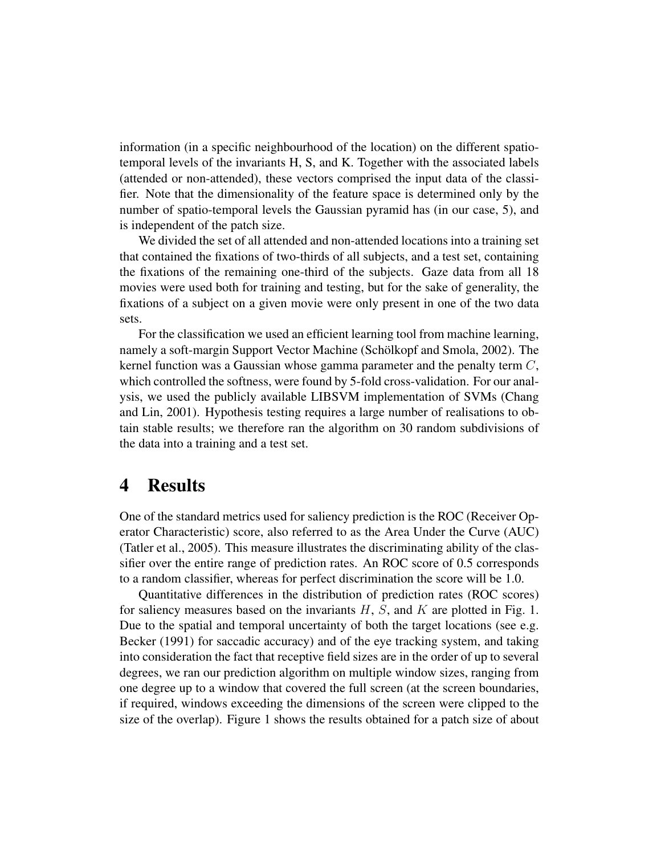information (in a specific neighbourhood of the location) on the different spatiotemporal levels of the invariants H, S, and K. Together with the associated labels (attended or non-attended), these vectors comprised the input data of the classifier. Note that the dimensionality of the feature space is determined only by the number of spatio-temporal levels the Gaussian pyramid has (in our case, 5), and is independent of the patch size.

We divided the set of all attended and non-attended locations into a training set that contained the fixations of two-thirds of all subjects, and a test set, containing the fixations of the remaining one-third of the subjects. Gaze data from all 18 movies were used both for training and testing, but for the sake of generality, the fixations of a subject on a given movie were only present in one of the two data sets.

For the classification we used an efficient learning tool from machine learning, namely a soft-margin Support Vector Machine (Schölkopf and Smola, 2002). The kernel function was a Gaussian whose gamma parameter and the penalty term C, which controlled the softness, were found by 5-fold cross-validation. For our analysis, we used the publicly available LIBSVM implementation of SVMs (Chang and Lin, 2001). Hypothesis testing requires a large number of realisations to obtain stable results; we therefore ran the algorithm on 30 random subdivisions of the data into a training and a test set.

### 4 Results

One of the standard metrics used for saliency prediction is the ROC (Receiver Operator Characteristic) score, also referred to as the Area Under the Curve (AUC) (Tatler et al., 2005). This measure illustrates the discriminating ability of the classifier over the entire range of prediction rates. An ROC score of 0.5 corresponds to a random classifier, whereas for perfect discrimination the score will be 1.0.

Quantitative differences in the distribution of prediction rates (ROC scores) for saliency measures based on the invariants  $H$ ,  $S$ , and  $K$  are plotted in Fig. 1. Due to the spatial and temporal uncertainty of both the target locations (see e.g. Becker (1991) for saccadic accuracy) and of the eye tracking system, and taking into consideration the fact that receptive field sizes are in the order of up to several degrees, we ran our prediction algorithm on multiple window sizes, ranging from one degree up to a window that covered the full screen (at the screen boundaries, if required, windows exceeding the dimensions of the screen were clipped to the size of the overlap). Figure 1 shows the results obtained for a patch size of about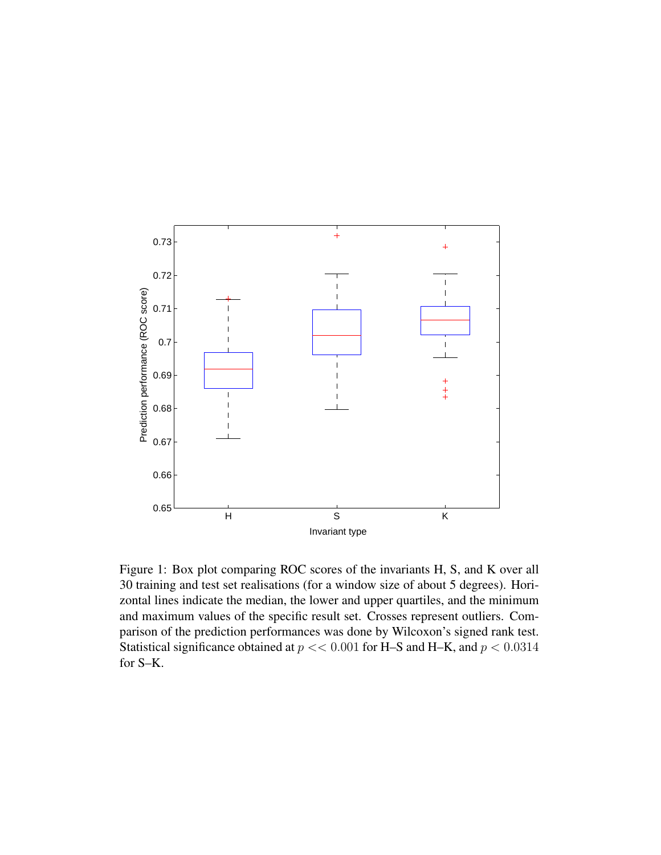

Figure 1: Box plot comparing ROC scores of the invariants H, S, and K over all 30 training and test set realisations (for a window size of about 5 degrees). Horizontal lines indicate the median, the lower and upper quartiles, and the minimum and maximum values of the specific result set. Crosses represent outliers. Comparison of the prediction performances was done by Wilcoxon's signed rank test. Statistical significance obtained at  $p \ll 0.001$  for H–S and H–K, and  $p \ll 0.0314$ for S–K.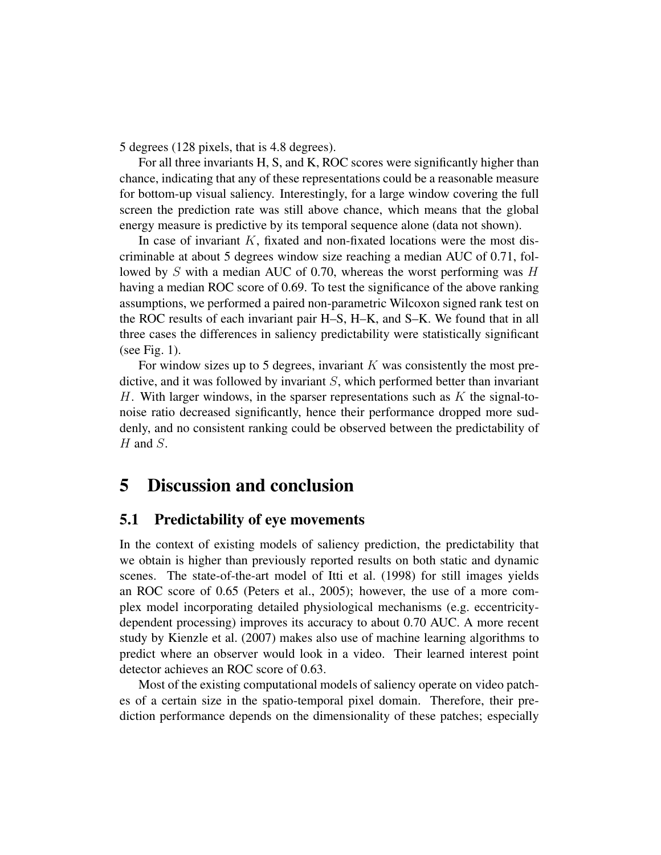5 degrees (128 pixels, that is 4.8 degrees).

For all three invariants H, S, and K, ROC scores were significantly higher than chance, indicating that any of these representations could be a reasonable measure for bottom-up visual saliency. Interestingly, for a large window covering the full screen the prediction rate was still above chance, which means that the global energy measure is predictive by its temporal sequence alone (data not shown).

In case of invariant  $K$ , fixated and non-fixated locations were the most discriminable at about 5 degrees window size reaching a median AUC of 0.71, followed by S with a median AUC of 0.70, whereas the worst performing was  $H$ having a median ROC score of 0.69. To test the significance of the above ranking assumptions, we performed a paired non-parametric Wilcoxon signed rank test on the ROC results of each invariant pair H–S, H–K, and S–K. We found that in all three cases the differences in saliency predictability were statistically significant (see Fig. 1).

For window sizes up to 5 degrees, invariant  $K$  was consistently the most predictive, and it was followed by invariant S, which performed better than invariant H. With larger windows, in the sparser representations such as  $K$  the signal-tonoise ratio decreased significantly, hence their performance dropped more suddenly, and no consistent ranking could be observed between the predictability of  $H$  and  $S$ .

# 5 Discussion and conclusion

#### 5.1 Predictability of eye movements

In the context of existing models of saliency prediction, the predictability that we obtain is higher than previously reported results on both static and dynamic scenes. The state-of-the-art model of Itti et al. (1998) for still images yields an ROC score of 0.65 (Peters et al., 2005); however, the use of a more complex model incorporating detailed physiological mechanisms (e.g. eccentricitydependent processing) improves its accuracy to about 0.70 AUC. A more recent study by Kienzle et al. (2007) makes also use of machine learning algorithms to predict where an observer would look in a video. Their learned interest point detector achieves an ROC score of 0.63.

Most of the existing computational models of saliency operate on video patches of a certain size in the spatio-temporal pixel domain. Therefore, their prediction performance depends on the dimensionality of these patches; especially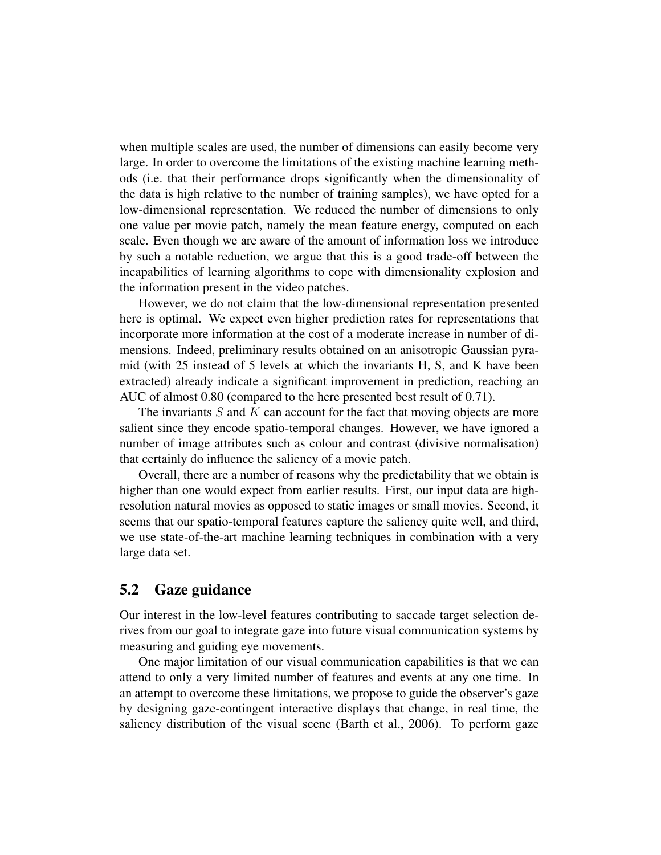when multiple scales are used, the number of dimensions can easily become very large. In order to overcome the limitations of the existing machine learning methods (i.e. that their performance drops significantly when the dimensionality of the data is high relative to the number of training samples), we have opted for a low-dimensional representation. We reduced the number of dimensions to only one value per movie patch, namely the mean feature energy, computed on each scale. Even though we are aware of the amount of information loss we introduce by such a notable reduction, we argue that this is a good trade-off between the incapabilities of learning algorithms to cope with dimensionality explosion and the information present in the video patches.

However, we do not claim that the low-dimensional representation presented here is optimal. We expect even higher prediction rates for representations that incorporate more information at the cost of a moderate increase in number of dimensions. Indeed, preliminary results obtained on an anisotropic Gaussian pyramid (with 25 instead of 5 levels at which the invariants H, S, and K have been extracted) already indicate a significant improvement in prediction, reaching an AUC of almost 0.80 (compared to the here presented best result of 0.71).

The invariants  $S$  and  $K$  can account for the fact that moving objects are more salient since they encode spatio-temporal changes. However, we have ignored a number of image attributes such as colour and contrast (divisive normalisation) that certainly do influence the saliency of a movie patch.

Overall, there are a number of reasons why the predictability that we obtain is higher than one would expect from earlier results. First, our input data are highresolution natural movies as opposed to static images or small movies. Second, it seems that our spatio-temporal features capture the saliency quite well, and third, we use state-of-the-art machine learning techniques in combination with a very large data set.

#### 5.2 Gaze guidance

Our interest in the low-level features contributing to saccade target selection derives from our goal to integrate gaze into future visual communication systems by measuring and guiding eye movements.

One major limitation of our visual communication capabilities is that we can attend to only a very limited number of features and events at any one time. In an attempt to overcome these limitations, we propose to guide the observer's gaze by designing gaze-contingent interactive displays that change, in real time, the saliency distribution of the visual scene (Barth et al., 2006). To perform gaze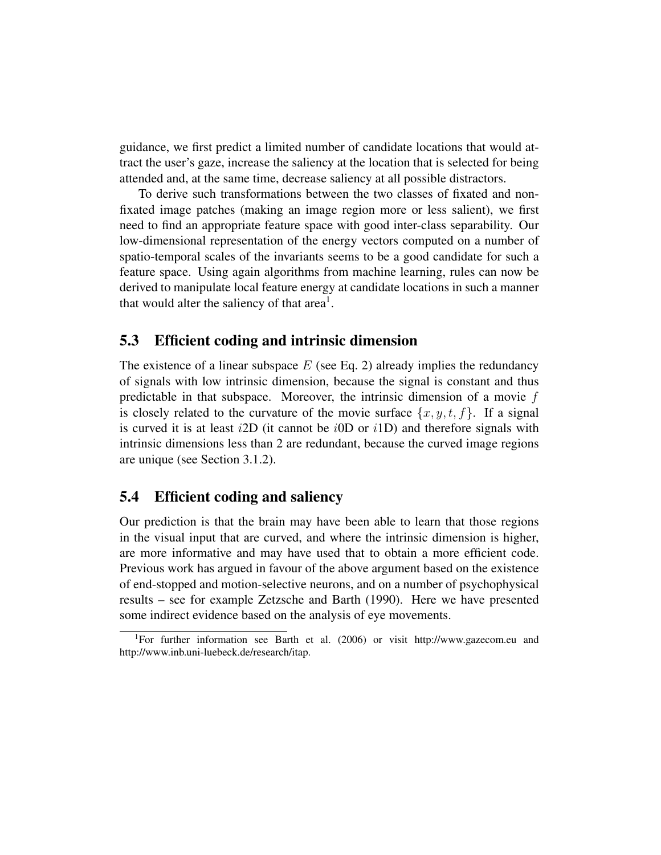guidance, we first predict a limited number of candidate locations that would attract the user's gaze, increase the saliency at the location that is selected for being attended and, at the same time, decrease saliency at all possible distractors.

To derive such transformations between the two classes of fixated and nonfixated image patches (making an image region more or less salient), we first need to find an appropriate feature space with good inter-class separability. Our low-dimensional representation of the energy vectors computed on a number of spatio-temporal scales of the invariants seems to be a good candidate for such a feature space. Using again algorithms from machine learning, rules can now be derived to manipulate local feature energy at candidate locations in such a manner that would alter the saliency of that area<sup>1</sup>.

#### 5.3 Efficient coding and intrinsic dimension

The existence of a linear subspace  $E$  (see Eq. 2) already implies the redundancy of signals with low intrinsic dimension, because the signal is constant and thus predictable in that subspace. Moreover, the intrinsic dimension of a movie f is closely related to the curvature of the movie surface  $\{x, y, t, f\}$ . If a signal is curved it is at least  $i2D$  (it cannot be  $i0D$  or  $i1D$ ) and therefore signals with intrinsic dimensions less than 2 are redundant, because the curved image regions are unique (see Section 3.1.2).

#### 5.4 Efficient coding and saliency

Our prediction is that the brain may have been able to learn that those regions in the visual input that are curved, and where the intrinsic dimension is higher, are more informative and may have used that to obtain a more efficient code. Previous work has argued in favour of the above argument based on the existence of end-stopped and motion-selective neurons, and on a number of psychophysical results – see for example Zetzsche and Barth (1990). Here we have presented some indirect evidence based on the analysis of eye movements.

<sup>1</sup>For further information see Barth et al. (2006) or visit http://www.gazecom.eu and http://www.inb.uni-luebeck.de/research/itap.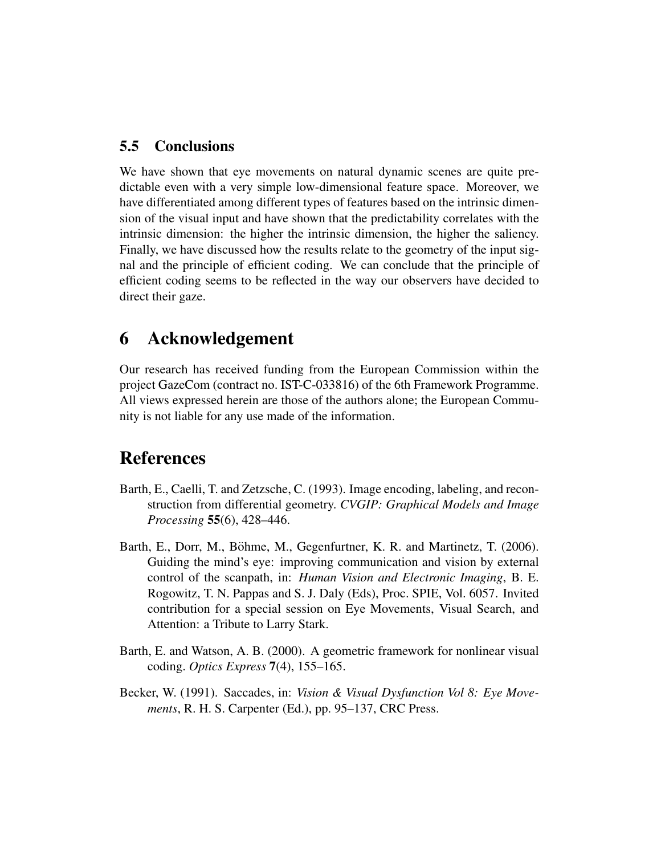#### 5.5 Conclusions

We have shown that eye movements on natural dynamic scenes are quite predictable even with a very simple low-dimensional feature space. Moreover, we have differentiated among different types of features based on the intrinsic dimension of the visual input and have shown that the predictability correlates with the intrinsic dimension: the higher the intrinsic dimension, the higher the saliency. Finally, we have discussed how the results relate to the geometry of the input signal and the principle of efficient coding. We can conclude that the principle of efficient coding seems to be reflected in the way our observers have decided to direct their gaze.

# 6 Acknowledgement

Our research has received funding from the European Commission within the project GazeCom (contract no. IST-C-033816) of the 6th Framework Programme. All views expressed herein are those of the authors alone; the European Community is not liable for any use made of the information.

# References

- Barth, E., Caelli, T. and Zetzsche, C. (1993). Image encoding, labeling, and reconstruction from differential geometry. *CVGIP: Graphical Models and Image Processing* 55(6), 428–446.
- Barth, E., Dorr, M., Böhme, M., Gegenfurtner, K. R. and Martinetz, T. (2006). Guiding the mind's eye: improving communication and vision by external control of the scanpath, in: *Human Vision and Electronic Imaging*, B. E. Rogowitz, T. N. Pappas and S. J. Daly (Eds), Proc. SPIE, Vol. 6057. Invited contribution for a special session on Eye Movements, Visual Search, and Attention: a Tribute to Larry Stark.
- Barth, E. and Watson, A. B. (2000). A geometric framework for nonlinear visual coding. *Optics Express* 7(4), 155–165.
- Becker, W. (1991). Saccades, in: *Vision & Visual Dysfunction Vol 8: Eye Movements*, R. H. S. Carpenter (Ed.), pp. 95–137, CRC Press.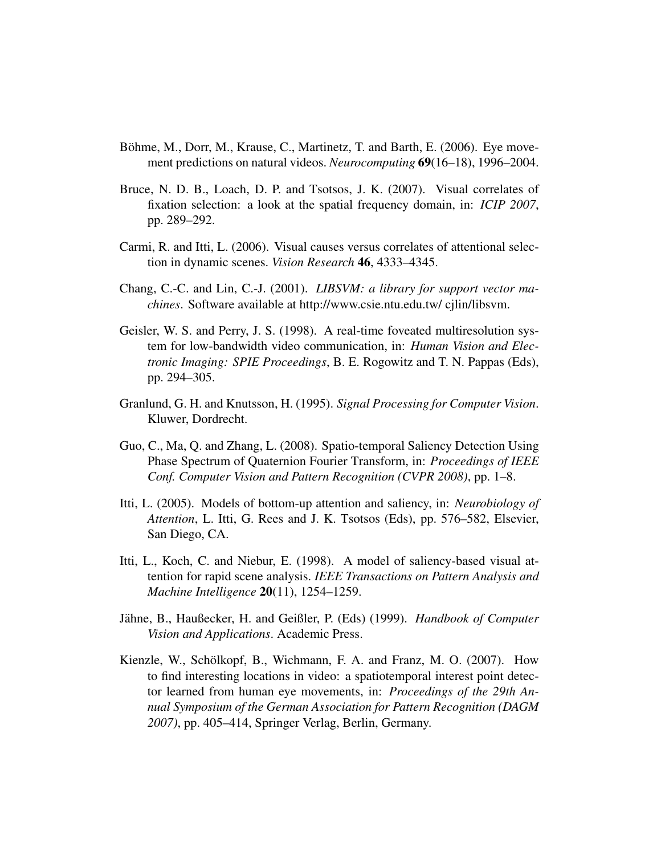- Böhme, M., Dorr, M., Krause, C., Martinetz, T. and Barth, E. (2006). Eye movement predictions on natural videos. *Neurocomputing* 69(16–18), 1996–2004.
- Bruce, N. D. B., Loach, D. P. and Tsotsos, J. K. (2007). Visual correlates of fixation selection: a look at the spatial frequency domain, in: *ICIP 2007*, pp. 289–292.
- Carmi, R. and Itti, L. (2006). Visual causes versus correlates of attentional selection in dynamic scenes. *Vision Research* 46, 4333–4345.
- Chang, C.-C. and Lin, C.-J. (2001). *LIBSVM: a library for support vector machines*. Software available at http://www.csie.ntu.edu.tw/ cjlin/libsvm.
- Geisler, W. S. and Perry, J. S. (1998). A real-time foveated multiresolution system for low-bandwidth video communication, in: *Human Vision and Electronic Imaging: SPIE Proceedings*, B. E. Rogowitz and T. N. Pappas (Eds), pp. 294–305.
- Granlund, G. H. and Knutsson, H. (1995). *Signal Processing for Computer Vision*. Kluwer, Dordrecht.
- Guo, C., Ma, Q. and Zhang, L. (2008). Spatio-temporal Saliency Detection Using Phase Spectrum of Quaternion Fourier Transform, in: *Proceedings of IEEE Conf. Computer Vision and Pattern Recognition (CVPR 2008)*, pp. 1–8.
- Itti, L. (2005). Models of bottom-up attention and saliency, in: *Neurobiology of Attention*, L. Itti, G. Rees and J. K. Tsotsos (Eds), pp. 576–582, Elsevier, San Diego, CA.
- Itti, L., Koch, C. and Niebur, E. (1998). A model of saliency-based visual attention for rapid scene analysis. *IEEE Transactions on Pattern Analysis and Machine Intelligence* 20(11), 1254–1259.
- Jähne, B., Haußecker, H. and Geißler, P. (Eds) (1999). *Handbook of Computer Vision and Applications*. Academic Press.
- Kienzle, W., Schölkopf, B., Wichmann, F. A. and Franz, M. O. (2007). How to find interesting locations in video: a spatiotemporal interest point detector learned from human eye movements, in: *Proceedings of the 29th Annual Symposium of the German Association for Pattern Recognition (DAGM 2007)*, pp. 405–414, Springer Verlag, Berlin, Germany.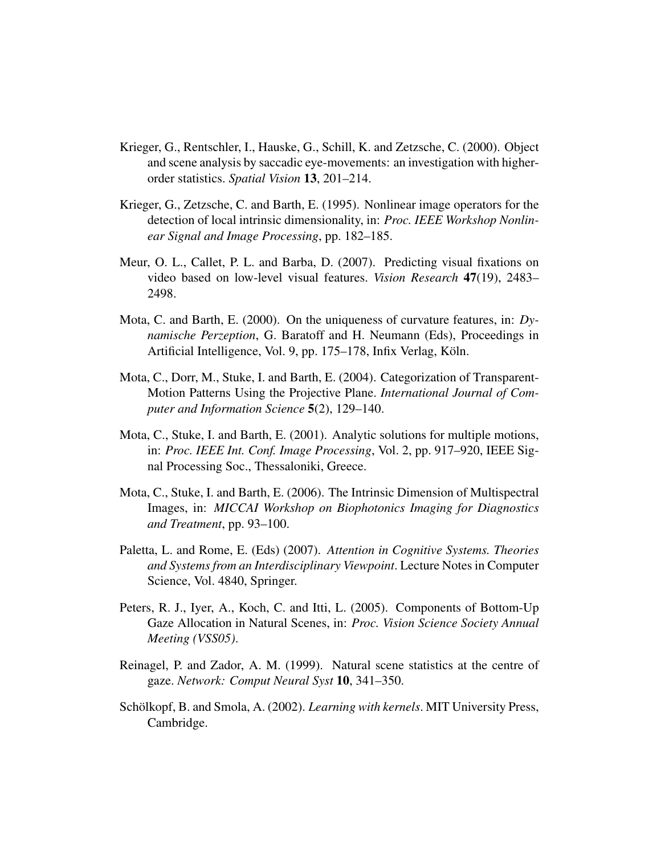- Krieger, G., Rentschler, I., Hauske, G., Schill, K. and Zetzsche, C. (2000). Object and scene analysis by saccadic eye-movements: an investigation with higherorder statistics. *Spatial Vision* 13, 201–214.
- Krieger, G., Zetzsche, C. and Barth, E. (1995). Nonlinear image operators for the detection of local intrinsic dimensionality, in: *Proc. IEEE Workshop Nonlinear Signal and Image Processing*, pp. 182–185.
- Meur, O. L., Callet, P. L. and Barba, D. (2007). Predicting visual fixations on video based on low-level visual features. *Vision Research* 47(19), 2483– 2498.
- Mota, C. and Barth, E. (2000). On the uniqueness of curvature features, in: *Dynamische Perzeption*, G. Baratoff and H. Neumann (Eds), Proceedings in Artificial Intelligence, Vol. 9, pp. 175–178, Infix Verlag, Koln. ¨
- Mota, C., Dorr, M., Stuke, I. and Barth, E. (2004). Categorization of Transparent-Motion Patterns Using the Projective Plane. *International Journal of Computer and Information Science* 5(2), 129–140.
- Mota, C., Stuke, I. and Barth, E. (2001). Analytic solutions for multiple motions, in: *Proc. IEEE Int. Conf. Image Processing*, Vol. 2, pp. 917–920, IEEE Signal Processing Soc., Thessaloniki, Greece.
- Mota, C., Stuke, I. and Barth, E. (2006). The Intrinsic Dimension of Multispectral Images, in: *MICCAI Workshop on Biophotonics Imaging for Diagnostics and Treatment*, pp. 93–100.
- Paletta, L. and Rome, E. (Eds) (2007). *Attention in Cognitive Systems. Theories and Systems from an Interdisciplinary Viewpoint*. Lecture Notes in Computer Science, Vol. 4840, Springer.
- Peters, R. J., Iyer, A., Koch, C. and Itti, L. (2005). Components of Bottom-Up Gaze Allocation in Natural Scenes, in: *Proc. Vision Science Society Annual Meeting (VSS05)*.
- Reinagel, P. and Zador, A. M. (1999). Natural scene statistics at the centre of gaze. *Network: Comput Neural Syst* 10, 341–350.
- Schölkopf, B. and Smola, A. (2002). *Learning with kernels*. MIT University Press, Cambridge.